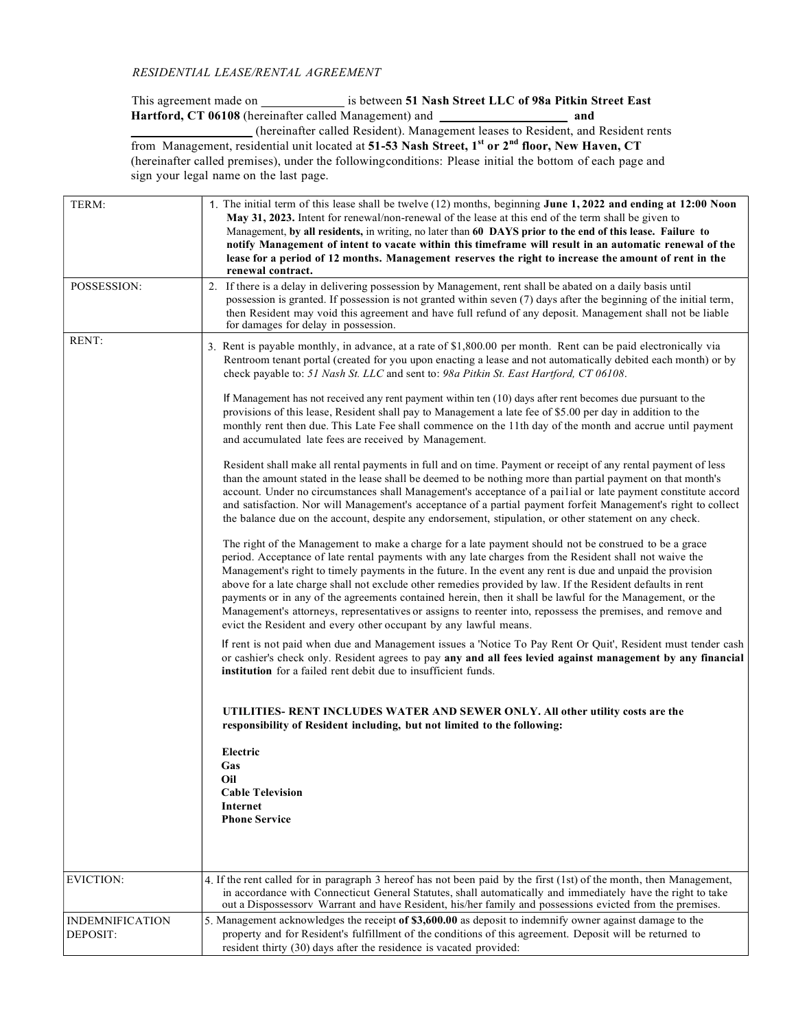## RESIDENTIAL LEASE/RENTAL AGREEMENT

This agreement made on \_\_\_\_\_\_\_\_\_\_\_\_\_\_\_\_\_ is between 51 Nash Street LLC of 98a Pitkin Street East Hartford, CT 06108 (hereinafter called Management) and \_\_\_\_\_\_\_\_\_\_\_\_\_\_\_\_\_\_\_\_ and \_\_\_\_\_\_\_\_\_\_\_\_\_\_\_\_\_\_\_ (hereinafter called Resident). Management leases to Resident, and Resident rents

from Management, residential unit located at 51-53 Nash Street, 1<sup>st</sup> or 2<sup>nd</sup> floor, New Haven, CT (hereinafter called premises), under the following conditions: Please initial the bottom of each page and sign your legal name on the last page.

| TERM:                              | 1. The initial term of this lease shall be twelve (12) months, beginning June 1, 2022 and ending at 12:00 Noon<br>May 31, 2023. Intent for renewal/non-renewal of the lease at this end of the term shall be given to<br>Management, by all residents, in writing, no later than 60 DAYS prior to the end of this lease. Failure to<br>notify Management of intent to vacate within this timeframe will result in an automatic renewal of the<br>lease for a period of 12 months. Management reserves the right to increase the amount of rent in the<br>renewal contract.                                                                                                                                                                 |
|------------------------------------|--------------------------------------------------------------------------------------------------------------------------------------------------------------------------------------------------------------------------------------------------------------------------------------------------------------------------------------------------------------------------------------------------------------------------------------------------------------------------------------------------------------------------------------------------------------------------------------------------------------------------------------------------------------------------------------------------------------------------------------------|
| POSSESSION:                        | 2. If there is a delay in delivering possession by Management, rent shall be abated on a daily basis until<br>possession is granted. If possession is not granted within seven (7) days after the beginning of the initial term,<br>then Resident may void this agreement and have full refund of any deposit. Management shall not be liable<br>for damages for delay in possession.                                                                                                                                                                                                                                                                                                                                                      |
| RENT:                              | 3. Rent is payable monthly, in advance, at a rate of \$1,800.00 per month. Rent can be paid electronically via<br>Rentroom tenant portal (created for you upon enacting a lease and not automatically debited each month) or by<br>check payable to: 51 Nash St. LLC and sent to: 98a Pitkin St. East Hartford, CT 06108.                                                                                                                                                                                                                                                                                                                                                                                                                  |
|                                    | If Management has not received any rent payment within ten $(10)$ days after rent becomes due pursuant to the<br>provisions of this lease, Resident shall pay to Management a late fee of \$5.00 per day in addition to the<br>monthly rent then due. This Late Fee shall commence on the 11th day of the month and accrue until payment<br>and accumulated late fees are received by Management.                                                                                                                                                                                                                                                                                                                                          |
|                                    | Resident shall make all rental payments in full and on time. Payment or receipt of any rental payment of less<br>than the amount stated in the lease shall be deemed to be nothing more than partial payment on that month's<br>account. Under no circumstances shall Management's acceptance of a pailial or late payment constitute accord<br>and satisfaction. Nor will Management's acceptance of a partial payment forfeit Management's right to collect<br>the balance due on the account, despite any endorsement, stipulation, or other statement on any check.                                                                                                                                                                    |
|                                    | The right of the Management to make a charge for a late payment should not be construed to be a grace<br>period. Acceptance of late rental payments with any late charges from the Resident shall not waive the<br>Management's right to timely payments in the future. In the event any rent is due and unpaid the provision<br>above for a late charge shall not exclude other remedies provided by law. If the Resident defaults in rent<br>payments or in any of the agreements contained herein, then it shall be lawful for the Management, or the<br>Management's attorneys, representatives or assigns to reenter into, repossess the premises, and remove and<br>evict the Resident and every other occupant by any lawful means. |
|                                    | If rent is not paid when due and Management issues a 'Notice To Pay Rent Or Quit', Resident must tender cash<br>or cashier's check only. Resident agrees to pay any and all fees levied against management by any financial<br>institution for a failed rent debit due to insufficient funds.                                                                                                                                                                                                                                                                                                                                                                                                                                              |
|                                    | UTILITIES- RENT INCLUDES WATER AND SEWER ONLY. All other utility costs are the<br>responsibility of Resident including, but not limited to the following:                                                                                                                                                                                                                                                                                                                                                                                                                                                                                                                                                                                  |
|                                    | Electric<br>Gas<br>Oil<br><b>Cable Television</b><br>Internet<br><b>Phone Service</b>                                                                                                                                                                                                                                                                                                                                                                                                                                                                                                                                                                                                                                                      |
| <b>EVICTION:</b>                   | 4. If the rent called for in paragraph 3 hereof has not been paid by the first (1st) of the month, then Management,<br>in accordance with Connecticut General Statutes, shall automatically and immediately have the right to take                                                                                                                                                                                                                                                                                                                                                                                                                                                                                                         |
|                                    | out a Dispossessorv Warrant and have Resident, his/her family and possessions evicted from the premises.                                                                                                                                                                                                                                                                                                                                                                                                                                                                                                                                                                                                                                   |
| <b>INDEMNIFICATION</b><br>DEPOSIT: | 5. Management acknowledges the receipt of \$3,600.00 as deposit to indemnify owner against damage to the<br>property and for Resident's fulfillment of the conditions of this agreement. Deposit will be returned to<br>resident thirty (30) days after the residence is vacated provided:                                                                                                                                                                                                                                                                                                                                                                                                                                                 |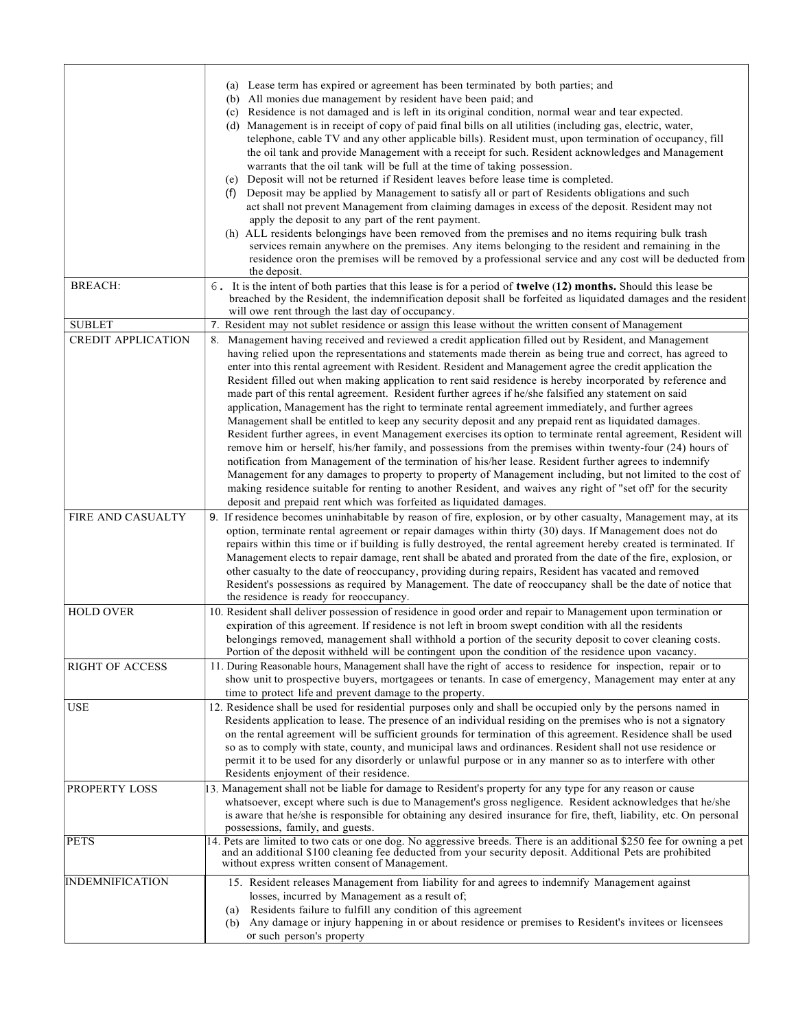|                           | (a) Lease term has expired or agreement has been terminated by both parties; and<br>All monies due management by resident have been paid; and<br>(b)<br>(c) Residence is not damaged and is left in its original condition, normal wear and tear expected.<br>(d) Management is in receipt of copy of paid final bills on all utilities (including gas, electric, water,<br>telephone, cable TV and any other applicable bills). Resident must, upon termination of occupancy, fill<br>the oil tank and provide Management with a receipt for such. Resident acknowledges and Management<br>warrants that the oil tank will be full at the time of taking possession.<br>Deposit will not be returned if Resident leaves before lease time is completed.<br>(e)<br>Deposit may be applied by Management to satisfy all or part of Residents obligations and such<br>(f)<br>act shall not prevent Management from claiming damages in excess of the deposit. Resident may not<br>apply the deposit to any part of the rent payment.<br>(h) ALL residents belongings have been removed from the premises and no items requiring bulk trash<br>services remain anywhere on the premises. Any items belonging to the resident and remaining in the<br>residence oron the premises will be removed by a professional service and any cost will be deducted from                                                             |
|---------------------------|------------------------------------------------------------------------------------------------------------------------------------------------------------------------------------------------------------------------------------------------------------------------------------------------------------------------------------------------------------------------------------------------------------------------------------------------------------------------------------------------------------------------------------------------------------------------------------------------------------------------------------------------------------------------------------------------------------------------------------------------------------------------------------------------------------------------------------------------------------------------------------------------------------------------------------------------------------------------------------------------------------------------------------------------------------------------------------------------------------------------------------------------------------------------------------------------------------------------------------------------------------------------------------------------------------------------------------------------------------------------------------------------------------------------|
| <b>BREACH:</b>            | the deposit.<br>6. It is the intent of both parties that this lease is for a period of <b>twelve (12) months.</b> Should this lease be<br>breached by the Resident, the indemnification deposit shall be forfeited as liquidated damages and the resident                                                                                                                                                                                                                                                                                                                                                                                                                                                                                                                                                                                                                                                                                                                                                                                                                                                                                                                                                                                                                                                                                                                                                              |
|                           | will owe rent through the last day of occupancy.                                                                                                                                                                                                                                                                                                                                                                                                                                                                                                                                                                                                                                                                                                                                                                                                                                                                                                                                                                                                                                                                                                                                                                                                                                                                                                                                                                       |
| <b>SUBLET</b>             | 7. Resident may not sublet residence or assign this lease without the written consent of Management                                                                                                                                                                                                                                                                                                                                                                                                                                                                                                                                                                                                                                                                                                                                                                                                                                                                                                                                                                                                                                                                                                                                                                                                                                                                                                                    |
| <b>CREDIT APPLICATION</b> | 8. Management having received and reviewed a credit application filled out by Resident, and Management<br>having relied upon the representations and statements made therein as being true and correct, has agreed to<br>enter into this rental agreement with Resident. Resident and Management agree the credit application the<br>Resident filled out when making application to rent said residence is hereby incorporated by reference and<br>made part of this rental agreement. Resident further agrees if he/she falsified any statement on said<br>application, Management has the right to terminate rental agreement immediately, and further agrees<br>Management shall be entitled to keep any security deposit and any prepaid rent as liquidated damages.<br>Resident further agrees, in event Management exercises its option to terminate rental agreement, Resident will<br>remove him or herself, his/her family, and possessions from the premises within twenty-four (24) hours of<br>notification from Management of the termination of his/her lease. Resident further agrees to indemnify<br>Management for any damages to property to property of Management including, but not limited to the cost of<br>making residence suitable for renting to another Resident, and waives any right of "set off for the security<br>deposit and prepaid rent which was forfeited as liquidated damages. |
| FIRE AND CASUALTY         | 9. If residence becomes uninhabitable by reason of fire, explosion, or by other casualty, Management may, at its<br>option, terminate rental agreement or repair damages within thirty (30) days. If Management does not do<br>repairs within this time or if building is fully destroyed, the rental agreement hereby created is terminated. If<br>Management elects to repair damage, rent shall be abated and prorated from the date of the fire, explosion, or<br>other casualty to the date of reoccupancy, providing during repairs, Resident has vacated and removed<br>Resident's possessions as required by Management. The date of reoccupancy shall be the date of notice that<br>the residence is ready for reoccupancy.                                                                                                                                                                                                                                                                                                                                                                                                                                                                                                                                                                                                                                                                                   |
| <b>HOLD OVER</b>          | 10. Resident shall deliver possession of residence in good order and repair to Management upon termination or<br>expiration of this agreement. If residence is not left in broom swept condition with all the residents<br>belongings removed, management shall withhold a portion of the security deposit to cover cleaning costs.<br>Portion of the deposit withheld will be contingent upon the condition of the residence upon vacancy.                                                                                                                                                                                                                                                                                                                                                                                                                                                                                                                                                                                                                                                                                                                                                                                                                                                                                                                                                                            |
| <b>RIGHT OF ACCESS</b>    | 11. During Reasonable hours, Management shall have the right of access to residence for inspection, repair or to<br>show unit to prospective buyers, mortgagees or tenants. In case of emergency, Management may enter at any<br>time to protect life and prevent damage to the property.                                                                                                                                                                                                                                                                                                                                                                                                                                                                                                                                                                                                                                                                                                                                                                                                                                                                                                                                                                                                                                                                                                                              |
| <b>USE</b>                | 12. Residence shall be used for residential purposes only and shall be occupied only by the persons named in<br>Residents application to lease. The presence of an individual residing on the premises who is not a signatory<br>on the rental agreement will be sufficient grounds for termination of this agreement. Residence shall be used<br>so as to comply with state, county, and municipal laws and ordinances. Resident shall not use residence or<br>permit it to be used for any disorderly or unlawful purpose or in any manner so as to interfere with other<br>Residents enjoyment of their residence.                                                                                                                                                                                                                                                                                                                                                                                                                                                                                                                                                                                                                                                                                                                                                                                                  |
| <b>PROPERTY LOSS</b>      | 13. Management shall not be liable for damage to Resident's property for any type for any reason or cause<br>whatsoever, except where such is due to Management's gross negligence. Resident acknowledges that he/she<br>is aware that he/she is responsible for obtaining any desired insurance for fire, theft, liability, etc. On personal<br>possessions, family, and guests.                                                                                                                                                                                                                                                                                                                                                                                                                                                                                                                                                                                                                                                                                                                                                                                                                                                                                                                                                                                                                                      |
| <b>PETS</b>               | 14. Pets are limited to two cats or one dog. No aggressive breeds. There is an additional \$250 fee for owning a pet<br>and an additional \$100 cleaning fee deducted from your security deposit. Additional Pets are prohibited<br>without express written consent of Management.                                                                                                                                                                                                                                                                                                                                                                                                                                                                                                                                                                                                                                                                                                                                                                                                                                                                                                                                                                                                                                                                                                                                     |
| <b>INDEMNIFICATION</b>    | 15. Resident releases Management from liability for and agrees to indemnify Management against<br>losses, incurred by Management as a result of;<br>Residents failure to fulfill any condition of this agreement<br>(a)<br>Any damage or injury happening in or about residence or premises to Resident's invitees or licensees<br>(b)<br>or such person's property                                                                                                                                                                                                                                                                                                                                                                                                                                                                                                                                                                                                                                                                                                                                                                                                                                                                                                                                                                                                                                                    |
|                           |                                                                                                                                                                                                                                                                                                                                                                                                                                                                                                                                                                                                                                                                                                                                                                                                                                                                                                                                                                                                                                                                                                                                                                                                                                                                                                                                                                                                                        |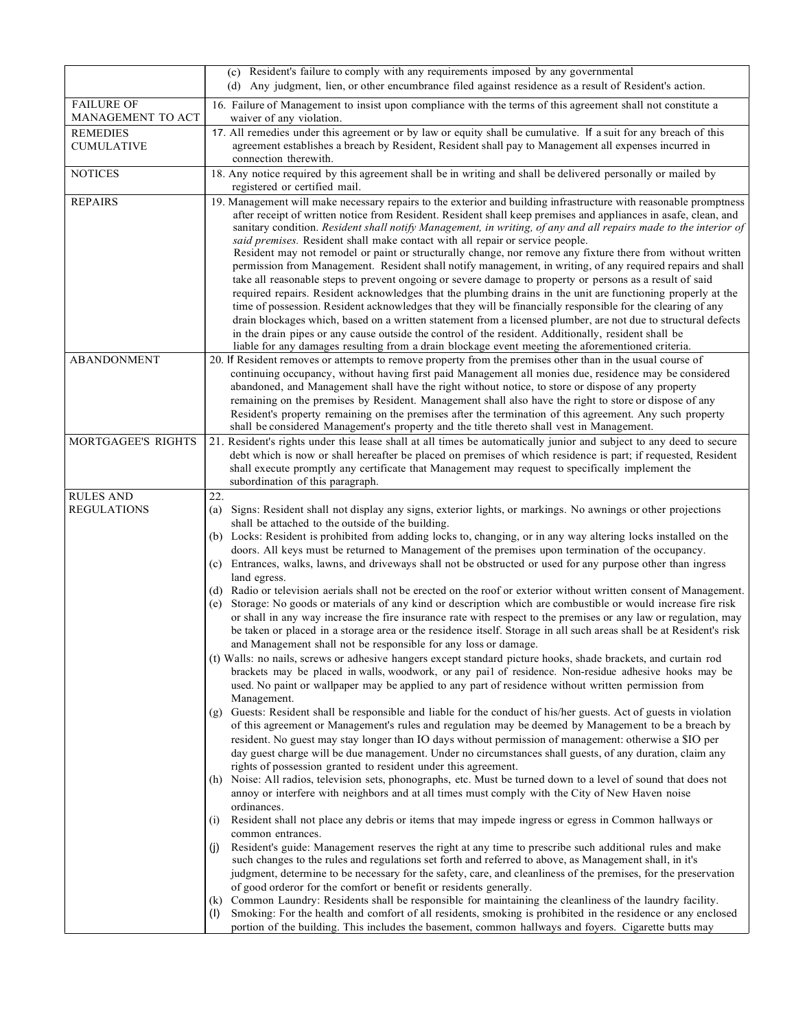|                                        | (c) Resident's failure to comply with any requirements imposed by any governmental<br>(d) Any judgment, lien, or other encumbrance filed against residence as a result of Resident's action.                                                                                                                                                                                                                                                                                                                                                                                                                                                                                                                                                                                                                                                                                                                                                                                                                                                                                                                                                                                                                                                                                                                                                                                                                                                                                                                                                                                                                                                                                                                                                                                                                                                                                                                                                                 |
|----------------------------------------|--------------------------------------------------------------------------------------------------------------------------------------------------------------------------------------------------------------------------------------------------------------------------------------------------------------------------------------------------------------------------------------------------------------------------------------------------------------------------------------------------------------------------------------------------------------------------------------------------------------------------------------------------------------------------------------------------------------------------------------------------------------------------------------------------------------------------------------------------------------------------------------------------------------------------------------------------------------------------------------------------------------------------------------------------------------------------------------------------------------------------------------------------------------------------------------------------------------------------------------------------------------------------------------------------------------------------------------------------------------------------------------------------------------------------------------------------------------------------------------------------------------------------------------------------------------------------------------------------------------------------------------------------------------------------------------------------------------------------------------------------------------------------------------------------------------------------------------------------------------------------------------------------------------------------------------------------------------|
| <b>FAILURE OF</b><br>MANAGEMENT TO ACT | 16. Failure of Management to insist upon compliance with the terms of this agreement shall not constitute a<br>waiver of any violation.                                                                                                                                                                                                                                                                                                                                                                                                                                                                                                                                                                                                                                                                                                                                                                                                                                                                                                                                                                                                                                                                                                                                                                                                                                                                                                                                                                                                                                                                                                                                                                                                                                                                                                                                                                                                                      |
| <b>REMEDIES</b><br><b>CUMULATIVE</b>   | 17. All remedies under this agreement or by law or equity shall be cumulative. If a suit for any breach of this<br>agreement establishes a breach by Resident, Resident shall pay to Management all expenses incurred in<br>connection therewith.                                                                                                                                                                                                                                                                                                                                                                                                                                                                                                                                                                                                                                                                                                                                                                                                                                                                                                                                                                                                                                                                                                                                                                                                                                                                                                                                                                                                                                                                                                                                                                                                                                                                                                            |
| <b>NOTICES</b>                         | 18. Any notice required by this agreement shall be in writing and shall be delivered personally or mailed by<br>registered or certified mail.                                                                                                                                                                                                                                                                                                                                                                                                                                                                                                                                                                                                                                                                                                                                                                                                                                                                                                                                                                                                                                                                                                                                                                                                                                                                                                                                                                                                                                                                                                                                                                                                                                                                                                                                                                                                                |
| <b>REPAIRS</b>                         | 19. Management will make necessary repairs to the exterior and building infrastructure with reasonable promptness<br>after receipt of written notice from Resident. Resident shall keep premises and appliances in asafe, clean, and<br>sanitary condition. Resident shall notify Management, in writing, of any and all repairs made to the interior of<br>said premises. Resident shall make contact with all repair or service people.<br>Resident may not remodel or paint or structurally change, nor remove any fixture there from without written<br>permission from Management. Resident shall notify management, in writing, of any required repairs and shall<br>take all reasonable steps to prevent ongoing or severe damage to property or persons as a result of said<br>required repairs. Resident acknowledges that the plumbing drains in the unit are functioning properly at the<br>time of possession. Resident acknowledges that they will be financially responsible for the clearing of any<br>drain blockages which, based on a written statement from a licensed plumber, are not due to structural defects<br>in the drain pipes or any cause outside the control of the resident. Additionally, resident shall be<br>liable for any damages resulting from a drain blockage event meeting the aforementioned criteria.                                                                                                                                                                                                                                                                                                                                                                                                                                                                                                                                                                                                            |
| <b>ABANDONMENT</b>                     | 20. If Resident removes or attempts to remove property from the premises other than in the usual course of<br>continuing occupancy, without having first paid Management all monies due, residence may be considered<br>abandoned, and Management shall have the right without notice, to store or dispose of any property<br>remaining on the premises by Resident. Management shall also have the right to store or dispose of any<br>Resident's property remaining on the premises after the termination of this agreement. Any such property<br>shall be considered Management's property and the title thereto shall vest in Management.                                                                                                                                                                                                                                                                                                                                                                                                                                                                                                                                                                                                                                                                                                                                                                                                                                                                                                                                                                                                                                                                                                                                                                                                                                                                                                                |
| MORTGAGEE'S RIGHTS                     | 21. Resident's rights under this lease shall at all times be automatically junior and subject to any deed to secure<br>debt which is now or shall hereafter be placed on premises of which residence is part; if requested, Resident<br>shall execute promptly any certificate that Management may request to specifically implement the<br>subordination of this paragraph.                                                                                                                                                                                                                                                                                                                                                                                                                                                                                                                                                                                                                                                                                                                                                                                                                                                                                                                                                                                                                                                                                                                                                                                                                                                                                                                                                                                                                                                                                                                                                                                 |
| <b>RULES AND</b><br><b>REGULATIONS</b> | 22.<br>(a) Signs: Resident shall not display any signs, exterior lights, or markings. No awnings or other projections                                                                                                                                                                                                                                                                                                                                                                                                                                                                                                                                                                                                                                                                                                                                                                                                                                                                                                                                                                                                                                                                                                                                                                                                                                                                                                                                                                                                                                                                                                                                                                                                                                                                                                                                                                                                                                        |
|                                        | shall be attached to the outside of the building.<br>(b) Locks: Resident is prohibited from adding locks to, changing, or in any way altering locks installed on the<br>doors. All keys must be returned to Management of the premises upon termination of the occupancy.<br>(c) Entrances, walks, lawns, and driveways shall not be obstructed or used for any purpose other than ingress<br>land egress.<br>(d) Radio or television aerials shall not be erected on the roof or exterior without written consent of Management.<br>(e) Storage: No goods or materials of any kind or description which are combustible or would increase fire risk<br>or shall in any way increase the fire insurance rate with respect to the premises or any law or regulation, may<br>be taken or placed in a storage area or the residence itself. Storage in all such areas shall be at Resident's risk<br>and Management shall not be responsible for any loss or damage.<br>(t) Walls: no nails, screws or adhesive hangers except standard picture hooks, shade brackets, and curtain rod<br>brackets may be placed in walls, woodwork, or any pail of residence. Non-residue adhesive hooks may be<br>used. No paint or wallpaper may be applied to any part of residence without written permission from<br>Management.<br>(g) Guests: Resident shall be responsible and liable for the conduct of his/her guests. Act of guests in violation<br>of this agreement or Management's rules and regulation may be deemed by Management to be a breach by<br>resident. No guest may stay longer than IO days without permission of management: otherwise a \$IO per<br>day guest charge will be due management. Under no circumstances shall guests, of any duration, claim any<br>rights of possession granted to resident under this agreement.<br>(h) Noise: All radios, television sets, phonographs, etc. Must be turned down to a level of sound that does not |
|                                        | annoy or interfere with neighbors and at all times must comply with the City of New Haven noise<br>ordinances.<br>Resident shall not place any debris or items that may impede ingress or egress in Common hallways or<br>$\left( 1\right)$<br>common entrances.                                                                                                                                                                                                                                                                                                                                                                                                                                                                                                                                                                                                                                                                                                                                                                                                                                                                                                                                                                                                                                                                                                                                                                                                                                                                                                                                                                                                                                                                                                                                                                                                                                                                                             |
|                                        | Resident's guide: Management reserves the right at any time to prescribe such additional rules and make<br>(i)<br>such changes to the rules and regulations set forth and referred to above, as Management shall, in it's<br>judgment, determine to be necessary for the safety, care, and cleanliness of the premises, for the preservation<br>of good orderor for the comfort or benefit or residents generally.<br>(k) Common Laundry: Residents shall be responsible for maintaining the cleanliness of the laundry facility.<br>Smoking: For the health and comfort of all residents, smoking is prohibited in the residence or any enclosed<br>(1)<br>portion of the building. This includes the basement, common hallways and foyers. Cigarette butts may                                                                                                                                                                                                                                                                                                                                                                                                                                                                                                                                                                                                                                                                                                                                                                                                                                                                                                                                                                                                                                                                                                                                                                                             |